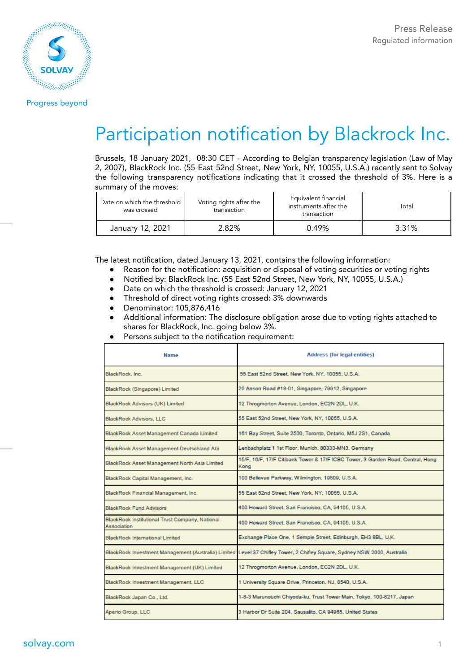

**Progress beyond** 

# Participation notification by Blackrock Inc.

Brussels, 18 January 2021, 08:30 CET - According to Belgian transparency legislation (Law of May 2, 2007), BlackRock Inc. (55 East 52nd Street, New York, NY, 10055, U.S.A.) recently sent to Solvay the following transparency notifications indicating that it crossed the threshold of 3%. Here is a summary of the moves:

| Date on which the threshold I<br>was crossed | Voting rights after the<br>transaction | Equivalent financial<br>instruments after the<br>transaction | Total |
|----------------------------------------------|----------------------------------------|--------------------------------------------------------------|-------|
| January 12, 2021                             | $2.82\%$                               | $0.49\%$                                                     | 3.31% |

The latest notification, dated January 13, 2021, contains the following information:

- **●** Reason for the notification: acquisition or disposal of voting securities or voting rights
- **●** Notified by: BlackRock Inc. (55 East 52nd Street, New York, NY, 10055, U.S.A.)
- **●** Date on which the threshold is crossed: January 12, 2021
- **●** Threshold of direct voting rights crossed: 3% downwards
- **●** Denominator: 105,876,416
- **●** Additional information: The disclosure obligation arose due to voting rights attached to shares for BlackRock, Inc. going below 3%.
- **●** Persons subject to the notification requirement:

| <b>Name</b>                                                    | <b>Address (for legal entities)</b>                                                                                      |  |  |  |
|----------------------------------------------------------------|--------------------------------------------------------------------------------------------------------------------------|--|--|--|
| BlackRock, Inc.                                                | 55 East 52nd Street, New York, NY, 10055, U.S.A.                                                                         |  |  |  |
| BlackRock (Singapore) Limited                                  | 20 Anson Road #18-01, Singapore, 79912, Singapore                                                                        |  |  |  |
| BlackRock Advisors (UK) Limited                                | 12 Throgmorton Avenue, London, EC2N 2DL, U.K.                                                                            |  |  |  |
| <b>BlackRock Advisors, LLC</b>                                 | 55 East 52nd Street, New York, NY, 10055, U.S.A.                                                                         |  |  |  |
| BlackRock Asset Management Canada Limited                      | 161 Bay Street, Suite 2500, Toronto, Ontario, M5J 2S1, Canada                                                            |  |  |  |
| BlackRock Asset Management Deutschland AG                      | Lenbachplatz 1 1st Floor, Munich, 80333-MN3, Germany                                                                     |  |  |  |
| BlackRock Asset Management North Asia Limited                  | 15/F, 16/F, 17/F Citibank Tower & 17/F ICBC Tower, 3 Garden Road, Central, Hong<br>Kong                                  |  |  |  |
| BlackRock Capital Management, Inc.                             | 100 Bellevue Parkway, Wilmington, 19809, U.S.A.                                                                          |  |  |  |
| BlackRock Financial Management, Inc.                           | 55 East 52nd Street, New York, NY, 10055, U.S.A.                                                                         |  |  |  |
| <b>BlackRock Fund Advisors</b>                                 | 400 Howard Street, San Francisco, CA, 94105, U.S.A.                                                                      |  |  |  |
| BlackRock Institutional Trust Company, National<br>Association | 400 Howard Street, San Francisco, CA, 94105, U.S.A.                                                                      |  |  |  |
| <b>BlackRock International Limited</b>                         | Exchange Place One, 1 Semple Street, Edinburgh, EH3 8BL, U.K.                                                            |  |  |  |
|                                                                | BlackRock Investment Management (Australia) Limited Level 37 Chifley Tower, 2 Chifley Square, Sydney NSW 2000, Australia |  |  |  |
| BlackRock Investment Management (UK) Limited                   | 12 Throgmorton Avenue, London, EC2N 2DL, U.K.                                                                            |  |  |  |
| BlackRock Investment Management, LLC                           | 1 University Square Drive, Princeton, NJ, 8540, U.S.A.                                                                   |  |  |  |
| BlackRock Japan Co., Ltd.                                      | 1-8-3 Marunouchi Chiyoda-ku, Trust Tower Main, Tokyo, 100-8217, Japan                                                    |  |  |  |
| Aperio Group, LLC                                              | 3 Harbor Dr Suite 204, Sausalito, CA 94965, United States                                                                |  |  |  |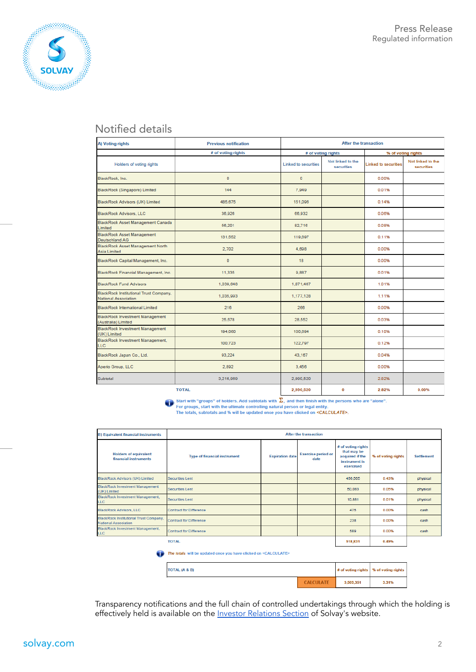

## Notified details

| A) Voting rights                                                          | <b>Previous notification</b> | <b>After the transaction</b> |                                 |                    |                                 |  |
|---------------------------------------------------------------------------|------------------------------|------------------------------|---------------------------------|--------------------|---------------------------------|--|
|                                                                           | # of voting rights           |                              | # of voting rights              | % of voting rights |                                 |  |
| Holders of voting rights                                                  |                              | <b>Linked to securities</b>  | Not linked to the<br>securities |                    | Not linked to the<br>securities |  |
| BlackRock, Inc.                                                           | $\mathbf{O}$                 | $\mathbf{O}$                 |                                 | 0.00%              |                                 |  |
| BlackRock (Singapore) Limited                                             | 144                          | 7,949                        |                                 | 0.01%              |                                 |  |
| BlackRock Advisors (UK) Limited                                           | 485,675                      | 151.096                      |                                 | 0.14%              |                                 |  |
| <b>BlackRock Advisors, LLC</b>                                            | 36,926                       | 66,932                       |                                 | 0.06%              |                                 |  |
| BlackRock Asset Management Canada<br>Limited                              | 56,201                       | 82.716                       |                                 | 0.08%              |                                 |  |
| <b>BlackRock Asset Management</b>                                         | 131,552                      | 119,697                      |                                 | 0.11%              |                                 |  |
| Deutschland AG<br>BlackRock Asset Management North<br><b>Asia Limited</b> | 2.702                        | 4.698                        |                                 | 0.00%              |                                 |  |
| BlackRock Capital Management, Inc.                                        | $\mathbf{O}$                 | 18                           |                                 | 0.00%              |                                 |  |
| BlackRock Financial Management, Inc.                                      | 11,335                       | 9,887                        |                                 | 0.01%              |                                 |  |
| <b>BlackRock Fund Advisors</b>                                            | 1.039.648                    | 1,071,467                    |                                 | 1.01%              |                                 |  |
| BlackRock Institutional Trust Company,<br><b>National Association</b>     | 1,035,993                    | 1,177,128                    |                                 | 1.11%              |                                 |  |
| <b>BlackRock International Limited</b>                                    | 216                          | 266                          |                                 | 0.00%              |                                 |  |
| <b>BlackRock Investment Management</b><br>(Australia) Limited             | 25,678                       | 28.552                       |                                 | 0.03%              |                                 |  |
| <b>BlackRock Investment Management</b><br>(UK) Limited                    | 194,060                      | 100.694                      |                                 | 0.10%              |                                 |  |
| BlackRock Investment Management,<br>LLC                                   | 100,723                      | 122,797                      |                                 | 0.12%              |                                 |  |
| BlackRock Japan Co., Ltd.                                                 | 93,224                       | 43.167                       |                                 | 0.04%              |                                 |  |
| Aperio Group, LLC                                                         | 2.892                        | 3.456                        |                                 | 0.00%              |                                 |  |
| Subtotal                                                                  | 3,216,969                    | 2.990.520                    |                                 | 2.82%              |                                 |  |
| <b>TOTAL</b>                                                              |                              | 2,990,520                    | $\bf{0}$                        | 2.82%              | 0.00%                           |  |

Start with "groups" of holders. Add subtotals with  $\Sigma$ , and then finish with the persons who are "alone".<br>For groups, start with the ultimate controlling natural person or legal entity.<br>The totals, subtotals and % will b

| <b>B) Equivalent financial instruments</b>                     | <b>After the transaction</b>        |                        |                                   |                                                                                    |                    |                   |
|----------------------------------------------------------------|-------------------------------------|------------------------|-----------------------------------|------------------------------------------------------------------------------------|--------------------|-------------------|
| <b>Holders of equivalent</b><br>financial instruments          | <b>Type of financial instrument</b> | <b>Expiration date</b> | <b>Exercise period or</b><br>date | # of voting rights<br>that may be<br>acquired if the<br>instrument is<br>exercised | % of voting rights | <b>Settlement</b> |
| BlackRock Advisors (UK) Limited                                | Securities Lent                     |                        |                                   | 456,565                                                                            | 0.43%              | physical          |
| <b>BlackRock Investment Management</b><br>(UK) Limited         | <b>Securities Lent</b>              |                        |                                   | 50.083                                                                             | 0.05%              | physical          |
| <b>BlackRock Investment Management,</b><br><b>LLC</b>          | <b>Securities Lent</b>              |                        |                                   | 10,881                                                                             | 0.01%              | physical          |
| <b>BlackRock Advisors, LLC</b>                                 | <b>Contract for Difference</b>      |                        |                                   | 475                                                                                | 0.00%              | cash              |
| BlackRock Institutional Trust Company,<br>National Association | <b>Contract for Difference</b>      |                        |                                   | 238                                                                                | 0.00%              | cash              |
| <b>BlackRock Investment Management,</b><br><b>LLC</b>          | <b>Contract for Difference</b>      |                        |                                   | 589                                                                                | 0.00%              | cash              |
|                                                                | <b>TOTAL</b>                        |                        |                                   | 518,831                                                                            | 0.49%              |                   |

The totals will be updated once you have clicked on <CALCULATE> Œ

| <b>TOTAL (A &amp; B)</b> |                  | # of voting rights   % of voting rights |       |
|--------------------------|------------------|-----------------------------------------|-------|
|                          | <b>CALCULATE</b> | 3,509,351                               | 3.31% |

Transparency notifications and the full chain of controlled undertakings through which the holding is effectively held is available on the <u>Investor [Relations](https://www.solvay.com/en/investors/regulated-information) Section</u> of Solvay's website.